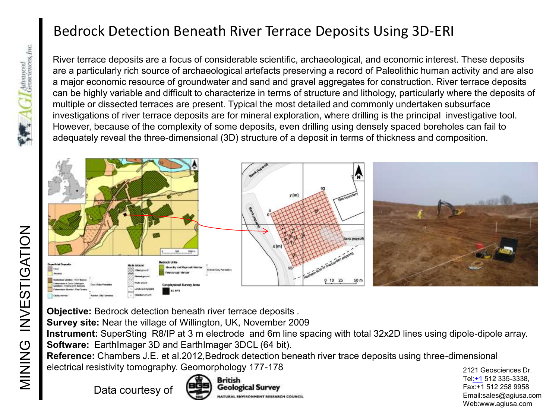## Bedrock Detection Beneath River Terrace Deposits Using 3D-ERI

River terrace deposits are a focus of considerable scientific, archaeological, and economic interest. These deposits are a particularly rich source of archaeological artefacts preserving a record of Paleolithic human activity and are also a major economic resource of groundwater and sand and gravel aggregates for construction. River terrace deposits can be highly variable and difficult to characterize in terms of structure and lithology, particularly where the deposits of multiple or dissected terraces are present. Typical the most detailed and commonly undertaken subsurface investigations of river terrace deposits are for mineral exploration, where drilling is the principal investigative tool. However, because of the complexity of some deposits, even drilling using densely spaced boreholes can fail to adequately reveal the three-dimensional (3D) structure of a deposit in terms of thickness and composition.



**Objective:** Bedrock detection beneath river terrace deposits .

**Survey site:** Near the village of Willington, UK, November 2009

**Instrument:** SuperSting R8/IP at 3 m electrode and 6m line spacing with total 32x2D lines using dipole-dipole array. **Software:** EarthImager 3D and EarthImager 3DCL (64 bit).

**Reference:** Chambers J.E. et al.2012,Bedrock detection beneath river trace deposits using three-dimensional electrical resistivity tomography. Geomorphology 177-178

Data courtesy of





2121 Geosciences Dr. Tel[:+1](Tel:+1) 512 335-3338, Fax:+1 512 258 9958 Email:sales@agiusa.com Web:www.agiusa.com

 $\sqrt{\frac{2}{\pi}}$  AC Baranced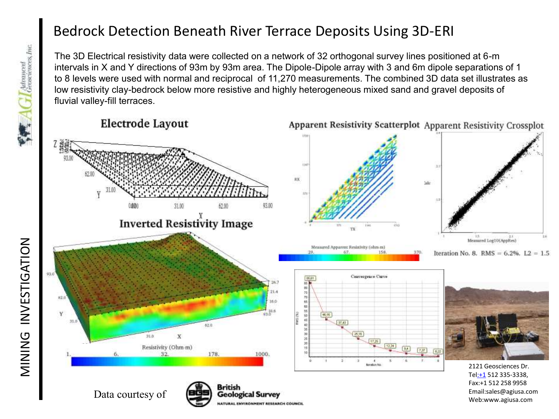## Bedrock Detection Beneath River Terrace Deposits Using 3D-ERI

The 3D Electrical resistivity data were collected on a network of 32 orthogonal survey lines positioned at 6-m intervals in X and Y directions of 93m by 93m area. The Dipole-Dipole array with 3 and 6m dipole separations of 1 to 8 levels were used with normal and reciprocal of 11,270 measurements. The combined 3D data set illustrates as low resistivity clay-bedrock below more resistive and highly heterogeneous mixed sand and gravel deposits of fluvial valley-fill terraces.

**Electrode Layout** 







2121 Geosciences Dr. Tel[:+1](Tel:+1) 512 335-3338, Fax:+1 512 258 9958 Email:sales@agiusa.com Data courtesy of **District of the Courtes**<br>
Mature of **Data** courtesy of **Coological Survey**<br>
Mature ENTERN COURCE COURCE COURCE COURCE COURCE COURCE COURCE COURCE COURCE COURCE COURCE COURCE COURCE COURCE COURCE COURCE CO

MINING INVESTIGATION

MINING INVESTIGATION